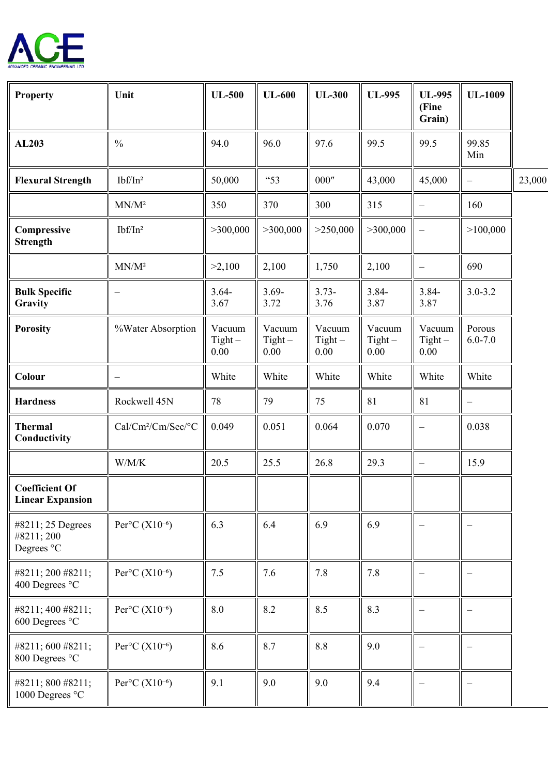

| <b>Property</b>                                  | Unit                                    | <b>UL-500</b>               | <b>UL-600</b>               | <b>UL-300</b>                   | <b>UL-995</b>               | <b>UL-995</b><br>(Fine<br>Grain) | <b>UL-1009</b>        |        |
|--------------------------------------------------|-----------------------------------------|-----------------------------|-----------------------------|---------------------------------|-----------------------------|----------------------------------|-----------------------|--------|
| AL203                                            | $\frac{0}{0}$                           | 94.0                        | 96.0                        | 97.6                            | 99.5                        | 99.5                             | 99.85<br>Min          |        |
| <b>Flexural Strength</b>                         | $Ibf/n^2$                               | 50,000                      | "53                         | $000^{\prime\prime}$            | 43,000                      | 45,000                           | $\qquad \qquad -$     | 23,000 |
|                                                  | $MN/M^2$                                | 350                         | 370                         | 300                             | 315                         |                                  | 160                   |        |
| Compressive<br><b>Strength</b>                   | $Ibf/Tn^2$                              | >300,000                    | >300,000                    | >250,000                        | >300,000                    | $\overline{\phantom{0}}$         | >100,000              |        |
|                                                  | $MN/M^2$                                | >2,100                      | 2,100                       | 1,750                           | 2,100                       |                                  | 690                   |        |
| <b>Bulk Specific</b><br>Gravity                  |                                         | $3.64 -$<br>3.67            | $3.69 -$<br>3.72            | $3.73-$<br>3.76                 | $3.84 -$<br>3.87            | $3.84 -$<br>3.87                 | $3.0 - 3.2$           |        |
| <b>Porosity</b>                                  | %Water Absorption                       | Vacuum<br>$Tight -$<br>0.00 | Vacuum<br>$Tight -$<br>0.00 | Vacuum<br>$Tight -$<br>$0.00\,$ | Vacuum<br>$Tight -$<br>0.00 | Vacuum<br>$Tight -$<br>$0.00\,$  | Porous<br>$6.0 - 7.0$ |        |
| Colour                                           |                                         | White                       | White                       | White                           | White                       | White                            | White                 |        |
| <b>Hardness</b>                                  | Rockwell 45N                            | 78                          | 79                          | 75                              | 81                          | 81                               |                       |        |
| <b>Thermal</b><br>Conductivity                   | Cal/Cm <sup>2</sup> /Cm/Sec/°C          | 0.049                       | 0.051                       | 0.064                           | 0.070                       |                                  | 0.038                 |        |
|                                                  | W/M/K                                   | 20.5                        | 25.5                        | 26.8                            | 29.3                        | $\overline{\phantom{0}}$         | 15.9                  |        |
| <b>Coefficient Of</b><br><b>Linear Expansion</b> |                                         |                             |                             |                                 |                             |                                  |                       |        |
| #8211; 25 Degrees<br>#8211; 200<br>Degrees °C    | Per ${}^{\circ}C(X10^{-6})$             | 6.3                         | 6.4                         | 6.9                             | 6.9                         |                                  |                       |        |
| #8211; 200 #8211;<br>400 Degrees °C              | Per ${}^{\circ}C(X10^{-6})$             | 7.5                         | 7.6                         | 7.8                             | 7.8                         |                                  |                       |        |
| #8211; 400 #8211;<br>600 Degrees °C              | Per ${}^{\circ}$ C (X10 <sup>-6</sup> ) | 8.0                         | 8.2                         | 8.5                             | 8.3                         |                                  |                       |        |
| #8211; 600 #8211;<br>800 Degrees °C              | Per ${}^{\circ}C(X10^{-6})$             | 8.6                         | 8.7                         | 8.8                             | 9.0                         |                                  |                       |        |
| #8211; 800 #8211;<br>1000 Degrees °C             | Per ${}^{\circ}C(X10^{-6})$             | 9.1                         | 9.0                         | 9.0                             | 9.4                         |                                  |                       |        |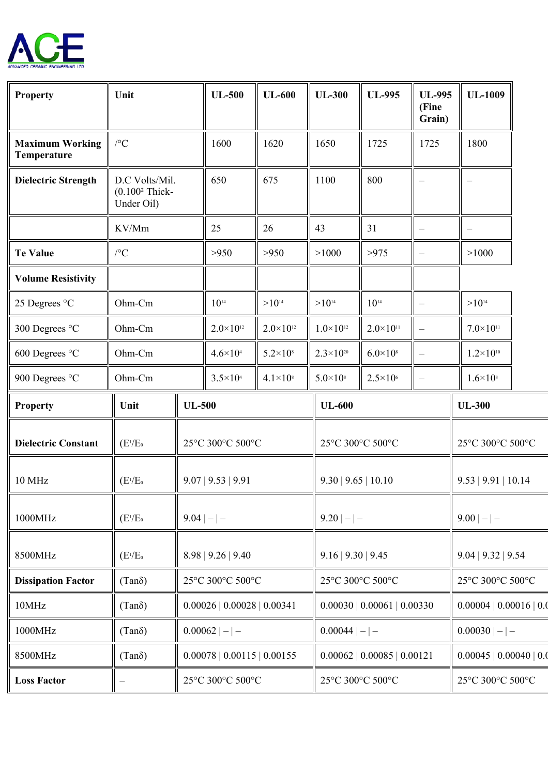

| <b>Property</b>                       | Unit                                             |                    | <b>UL-500</b>               | <b>UL-600</b>        | <b>UL-300</b>            | <b>UL-995</b>               | <b>UL-995</b><br>(Fine<br>Grain) | <b>UL-1009</b>           |  |
|---------------------------------------|--------------------------------------------------|--------------------|-----------------------------|----------------------|--------------------------|-----------------------------|----------------------------------|--------------------------|--|
| <b>Maximum Working</b><br>Temperature | $\mathcal{C}$                                    |                    | 1600                        | 1620                 | 1650                     | 1725                        | 1725                             | 1800                     |  |
| <b>Dielectric Strength</b>            | D.C Volts/Mil.<br>$(0.1002$ Thick-<br>Under Oil) |                    | 650                         | 675                  | 1100                     | 800                         |                                  |                          |  |
|                                       | KV/Mm                                            |                    | 25                          | 26                   | 43                       | 31                          | $\overline{\phantom{0}}$         |                          |  |
| <b>Te Value</b>                       | $/ ^{\circ} \text{C}$                            |                    | >950                        | >950                 | >1000                    | >975                        |                                  | >1000                    |  |
| <b>Volume Resistivity</b>             |                                                  |                    |                             |                      |                          |                             |                                  |                          |  |
| 25 Degrees °C                         | Ohm-Cm                                           |                    | $10^{14}$                   | $>10^{14}$           | $>10^{14}$               | $10^{14}$                   |                                  | $>10^{14}$               |  |
| 300 Degrees °C                        | Ohm-Cm                                           |                    | $2.0 \times 10^{12}$        | $2.0 \times 10^{12}$ | $1.0\times10^{12}$       | $2.0 \times 10^{11}$        |                                  | $7.0 \times 10^{11}$     |  |
| 600 Degrees °C                        | Ohm-Cm                                           |                    | $4.6 \times 10^{4}$         | $5.2 \times 10^8$    | $2.3 \times 10^{20}$     | $6.0\times108$              |                                  | $1.2 \times 10^{10}$     |  |
| 900 Degrees °C                        | $Ohm-Cm$                                         |                    | $3.5 \times 10^{4}$         | $4.1 \times 10^{8}$  | $5.0\times10^{8}$        | $2.5 \times 10^{6}$         |                                  | $1.6 \times 10^8$        |  |
| <b>Property</b>                       | Unit                                             | <b>UL-500</b>      |                             | <b>UL-600</b>        |                          |                             | <b>UL-300</b>                    |                          |  |
| <b>Dielectric Constant</b>            | $(E^{1}/E_{0})$                                  | 25°C 300°C 500°C   |                             | 25°C 300°C 500°C     |                          |                             | 25°C 300°C 500°C                 |                          |  |
| 10 MHz                                | $(E^{1}/E_{0})$                                  | 9.07   9.53   9.91 |                             | 9.30   9.65   10.10  |                          |                             | 9.53   9.91   10.14              |                          |  |
| 1000MHz                               | $(E^{1}/E_{0})$                                  | $9.04$   -   -     |                             | $9.20$   $-$   $-$   |                          |                             | $9.00$   $-$   $-$               |                          |  |
|                                       |                                                  | 8.98   9.26   9.40 |                             |                      | $9.16$   $9.30$   $9.45$ |                             |                                  |                          |  |
| 8500MHz                               | $(E^{1}/E_{0})$                                  |                    |                             |                      |                          |                             |                                  | $9.04$   $9.32$   $9.54$ |  |
| <b>Dissipation Factor</b>             | $(Tan\delta)$                                    |                    | 25°C 300°C 500°C            |                      | 25°C 300°C 500°C         |                             |                                  | 25°C 300°C 500°C         |  |
| 10MHz                                 | $(Tan\delta)$                                    |                    | 0.00026   0.00028   0.00341 |                      |                          | 0.00030   0.00061   0.00330 |                                  | 0.00004   0.00016   0.0  |  |
| 1000MHz                               | $(Tan\delta)$                                    |                    | $0.00062$  - -              |                      | $0.00044$   -   -        |                             |                                  | $0.00030$  - -           |  |
| 8500MHz                               | $(Tan\delta)$                                    |                    | 0.00078   0.00115   0.00155 |                      |                          | 0.00062   0.00085   0.00121 |                                  | 0.00045   0.00040   0.0  |  |